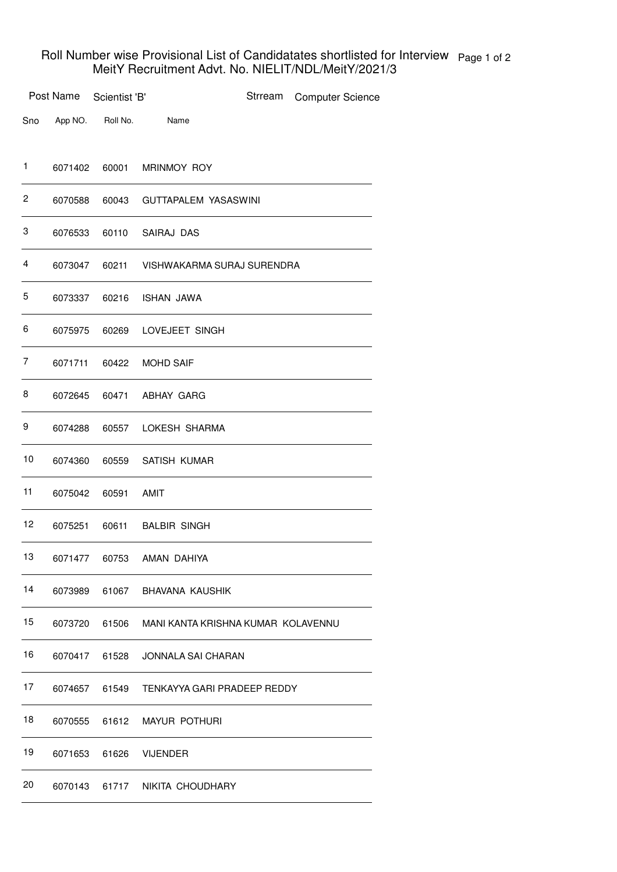## Roll Number wise Provisional List of Candidatates shortlisted for Interview MeitY Recruitment Advt. No. NIELIT/NDL/MeitY/2021/3 Page 1 of 2

|     | Post Name | Scientist 'B' |                                          | Strream | <b>Computer Science</b> |
|-----|-----------|---------------|------------------------------------------|---------|-------------------------|
| Sno | App NO.   | Roll No.      | Name                                     |         |                         |
| 1   | 6071402   | 60001         | MRINMOY ROY                              |         |                         |
| 2   | 6070588   | 60043         | <b>GUTTAPALEM YASASWINI</b>              |         |                         |
| 3   | 6076533   | 60110         | SAIRAJ DAS                               |         |                         |
| 4   | 6073047   | 60211         | VISHWAKARMA SURAJ SURENDRA               |         |                         |
| 5   | 6073337   | 60216         | ISHAN JAWA                               |         |                         |
| 6   | 6075975   | 60269         | LOVEJEET SINGH                           |         |                         |
| 7   | 6071711   | 60422         | <b>MOHD SAIF</b>                         |         |                         |
| 8   | 6072645   | 60471         | ABHAY GARG                               |         |                         |
| 9   | 6074288   | 60557         | LOKESH SHARMA                            |         |                         |
| 10  | 6074360   | 60559         | SATISH KUMAR                             |         |                         |
| 11  | 6075042   | 60591         | AMIT                                     |         |                         |
| 12  | 6075251   | 60611         | <b>BALBIR SINGH</b>                      |         |                         |
| 13  | 6071477   | 60753         | AMAN DAHIYA                              |         |                         |
| 14  | 6073989   |               | 61067 BHAVANA KAUSHIK                    |         |                         |
| 15  | 6073720   |               | 61506 MANI KANTA KRISHNA KUMAR KOLAVENNU |         |                         |
| 16  | 6070417   | 61528         | JONNALA SAI CHARAN                       |         |                         |
| 17  |           | 6074657 61549 | TENKAYYA GARI PRADEEP REDDY              |         |                         |
| 18  | 6070555   | 61612         | <b>MAYUR POTHURI</b>                     |         |                         |
| 19  | 6071653   | 61626         | <b>VIJENDER</b>                          |         |                         |
| 20  |           |               | 6070143 61717 NIKITA CHOUDHARY           |         |                         |